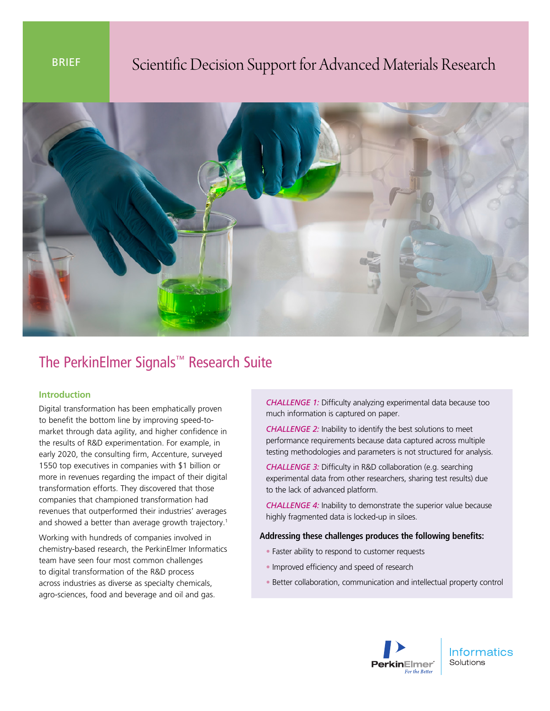# BRIEF Scientific Decision Support for Advanced Materials Research



# The PerkinElmer Signals™ Research Suite

## **Introduction**

Digital transformation has been emphatically proven to benefit the bottom line by improving speed-tomarket through data agility, and higher confidence in the results of R&D experimentation. For example, in early 2020, the consulting firm, Accenture, surveyed 1550 top executives in companies with \$1 billion or more in revenues regarding the impact of their digital transformation efforts. They discovered that those companies that championed transformation had revenues that outperformed their industries' averages and showed a better than average growth trajectory.<sup>1</sup>

Working with hundreds of companies involved in chemistry-based research, the PerkinElmer Informatics team have seen four most common challenges to digital transformation of the R&D process across industries as diverse as specialty chemicals, agro-sciences, food and beverage and oil and gas.

*CHALLENGE 1:* Difficulty analyzing experimental data because too much information is captured on paper.

*CHALLENGE 2:* Inability to identify the best solutions to meet performance requirements because data captured across multiple testing methodologies and parameters is not structured for analysis.

*CHALLENGE 3:* Difficulty in R&D collaboration (e.g. searching experimental data from other researchers, sharing test results) due to the lack of advanced platform.

*CHALLENGE 4:* Inability to demonstrate the superior value because highly fragmented data is locked-up in siloes.

#### **Addressing these challenges produces the following benefits:**

- Faster ability to respond to customer requests
- Improved efficiency and speed of research
- Better collaboration, communication and intellectual property control



**Informatics** Solutions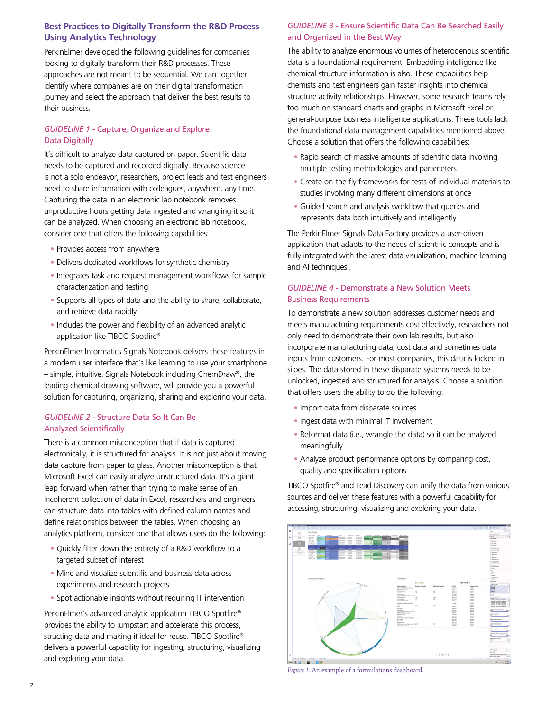# **Best Practices to Digitally Transform the R&D Process Using Analytics Technology**

PerkinElmer developed the following guidelines for companies looking to digitally transform their R&D processes. These approaches are not meant to be sequential. We can together identify where companies are on their digital transformation journey and select the approach that deliver the best results to their business.

# *GUIDELINE 1 -* Capture, Organize and Explore Data Digitally

It's difficult to analyze data captured on paper. Scientific data needs to be captured and recorded digitally. Because science is not a solo endeavor, researchers, project leads and test engineers need to share information with colleagues, anywhere, any time. Capturing the data in an electronic lab notebook removes unproductive hours getting data ingested and wrangling it so it can be analyzed. When choosing an electronic lab notebook, consider one that offers the following capabilities:

- Provides access from anywhere
- Delivers dedicated workflows for synthetic chemistry
- Integrates task and request management workflows for sample characterization and testing
- Supports all types of data and the ability to share, collaborate, and retrieve data rapidly
- Includes the power and flexibility of an advanced analytic application like TIBCO Spotfire®

PerkinElmer Informatics Signals Notebook delivers these features in a modern user interface that's like learning to use your smartphone – simple, intuitive. Signals Notebook including ChemDraw®, the leading chemical drawing software, will provide you a powerful solution for capturing, organizing, sharing and exploring your data.

#### *GUIDELINE 2 -* Structure Data So It Can Be Analyzed Scientifically

There is a common misconception that if data is captured electronically, it is structured for analysis. It is not just about moving data capture from paper to glass. Another misconception is that Microsoft Excel can easily analyze unstructured data. It's a giant leap forward when rather than trying to make sense of an incoherent collection of data in Excel, researchers and engineers can structure data into tables with defined column names and define relationships between the tables. When choosing an analytics platform, consider one that allows users do the following:

- Quickly filter down the entirety of a R&D workflow to a targeted subset of interest
- Mine and visualize scientific and business data across experiments and research projects
- Spot actionable insights without requiring IT intervention

PerkinElmer's advanced analytic application TIBCO Spotfire® provides the ability to jumpstart and accelerate this process, structing data and making it ideal for reuse. TIBCO Spotfire® delivers a powerful capability for ingesting, structuring, visualizing and exploring your data.

## *GUIDELINE 3 -* Ensure Scientific Data Can Be Searched Easily and Organized in the Best Way

The ability to analyze enormous volumes of heterogenous scientific data is a foundational requirement. Embedding intelligence like chemical structure information is also. These capabilities help chemists and test engineers gain faster insights into chemical structure activity relationships. However, some research teams rely too much on standard charts and graphs in Microsoft Excel or general-purpose business intelligence applications. These tools lack the foundational data management capabilities mentioned above. Choose a solution that offers the following capabilities:

- Rapid search of massive amounts of scientific data involving multiple testing methodologies and parameters
- Create on-the-fly frameworks for tests of individual materials to studies involving many different dimensions at once
- Guided search and analysis workflow that queries and represents data both intuitively and intelligently

The PerkinElmer Signals Data Factory provides a user-driven application that adapts to the needs of scientific concepts and is fully integrated with the latest data visualization, machine learning and AI techniques..

## *GUIDELINE 4 -* Demonstrate a New Solution Meets Business Requirements

To demonstrate a new solution addresses customer needs and meets manufacturing requirements cost effectively, researchers not only need to demonstrate their own lab results, but also incorporate manufacturing data, cost data and sometimes data inputs from customers. For most companies, this data is locked in siloes. The data stored in these disparate systems needs to be unlocked, ingested and structured for analysis. Choose a solution that offers users the ability to do the following:

- Import data from disparate sources
- Ingest data with minimal IT involvement
- Reformat data (i.e., wrangle the data) so it can be analyzed meaningfully
- Analyze product performance options by comparing cost, quality and specification options

TIBCO Spotfire® and Lead Discovery can unify the data from various sources and deliver these features with a powerful capability for accessing, structuring, visualizing and exploring your data.



*Figure 1.* An example of a formulations dashboard.